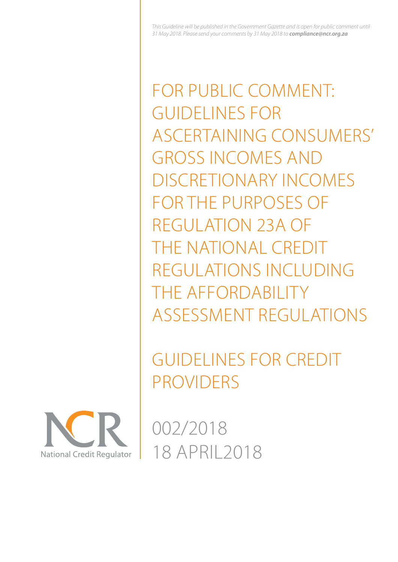FOR PUBLIC COMMENT: GUIDELINES FOR ASCERTAINING CONSUMERS' GROSS INCOMES AND DISCRETIONARY INCOMES FOR THE PURPOSES OF REGULATION 23A OF THE NATIONAL CREDIT REGULATIONS INCLUDING THE AFFORDABILITY ASSESSMENT REGULATIONS

GUIDELINES FOR CREDIT PROVIDERS



002/2018 18 APRIL2018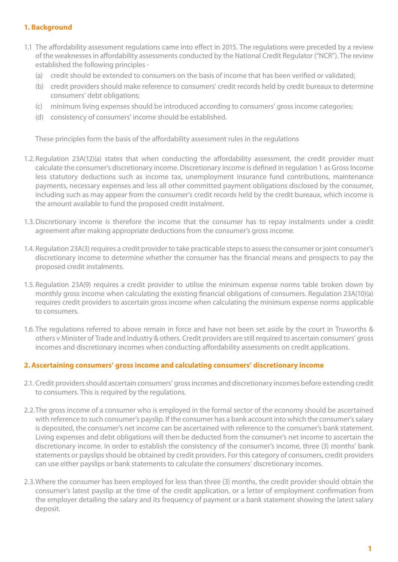## **1. Background**

- 1.1 The affordability assessment regulations came into effect in 2015. The regulations were preceded by a review of the weaknesses in affordability assessments conducted by the National Credit Regulator ("NCR"). The review established the following principles -
	- (a) credit should be extended to consumers on the basis of income that has been verified or validated;
	- (b) credit providers should make reference to consumers' credit records held by credit bureaux to determine consumers' debt obligations;
	- (c) minimum living expenses should be introduced according to consumers' gross income categories;
	- (d) consistency of consumers' income should be established.

These principles form the basis of the affordability assessment rules in the regulations

- 1.2.Regulation 23A(12)(a) states that when conducting the affordability assessment, the credit provider must calculate the consumer's discretionary income. Discretionary income is defined in regulation 1 as Gross Income less statutory deductions such as income tax, unemployment insurance fund contributions, maintenance payments, necessary expenses and less all other committed payment obligations disclosed by the consumer, including such as may appear from the consumer's credit records held by the credit bureaux, which income is the amount available to fund the proposed credit instalment.
- 1.3.Discretionary income is therefore the income that the consumer has to repay instalments under a credit agreement after making appropriate deductions from the consumer's gross income.
- 1.4. Regulation 23A(3) requires a credit provider to take practicable steps to assess the consumer or joint consumer's discretionary income to determine whether the consumer has the financial means and prospects to pay the proposed credit instalments.
- 1.5.Regulation 23A(9) requires a credit provider to utilise the minimum expense norms table broken down by monthly gross income when calculating the existing financial obligations of consumers. Regulation 23A(10)(a) requires credit providers to ascertain gross income when calculating the minimum expense norms applicable to consumers.
- 1.6. The regulations referred to above remain in force and have not been set aside by the court in Truworths & others v Minister of Trade and Industry & others. Credit providers are still required to ascertain consumers' gross incomes and discretionary incomes when conducting affordability assessments on credit applications.

## **2.Ascertaining consumers' gross income and calculating consumers' discretionary income**

- 2.1. Credit providers should ascertain consumers' gross incomes and discretionary incomes before extending credit to consumers. This is required by the regulations.
- 2.2.The gross income of a consumer who is employed in the formal sector of the economy should be ascertained with reference to such consumer's payslip. If the consumer has a bank account into which the consumer's salary is deposited, the consumer's net income can be ascertained with reference to the consumer's bank statement. Living expenses and debt obligations will then be deducted from the consumer's net income to ascertain the discretionary income. In order to establish the consistency of the consumer's income, three (3) months' bank statements or payslips should be obtained by credit providers. For this category of consumers, credit providers can use either payslips or bank statements to calculate the consumers' discretionary incomes.
- 2.3.Where the consumer has been employed for less than three (3) months, the credit provider should obtain the consumer's latest payslip at the time of the credit application, or a letter of employment confirmation from the employer detailing the salary and its frequency of payment or a bank statement showing the latest salary deposit.